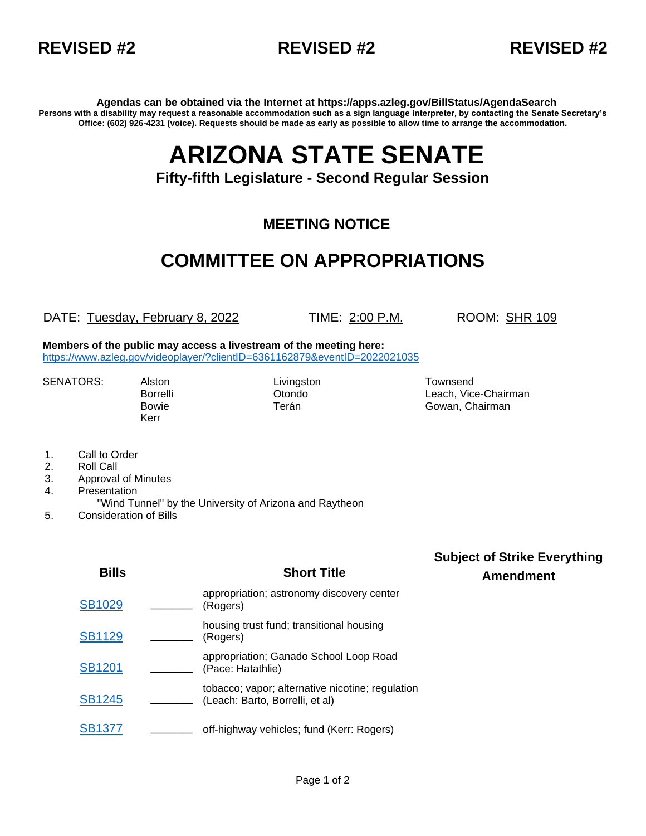



**Agendas can be obtained via the Internet at https://apps.azleg.gov/BillStatus/AgendaSearch Persons with a disability may request a reasonable accommodation such as a sign language interpreter, by contacting the Senate Secretary's Office: (602) 926-4231 (voice). Requests should be made as early as possible to allow time to arrange the accommodation.**

# **ARIZONA STATE SENATE**

#### **Fifty-fifth Legislature - Second Regular Session**

#### **MEETING NOTICE**

## **COMMITTEE ON APPROPRIATIONS**

DATE: Tuesday, February 8, 2022 TIME: 2:00 P.M. ROOM: SHR 109

**Subject of Strike Everything**

**Members of the public may access a livestream of the meeting here:**  <https://www.azleg.gov/videoplayer/?clientID=6361162879&eventID=2022021035>

SENATORS: Alston Livingston Livingston Townsend

Kerr

Borrelli Otondo Leach, Vice-Chairman Bowie **Terán** Terán Gowan, Chairman

- 1. Call to Order
- 2. Roll Call
- 3. Approval of Minutes
- 4. Presentation
- "Wind Tunnel" by the University of Arizona and Raytheon
- 5. Consideration of Bills

| <b>Bills</b>  | <b>Short Title</b>                                                                  | $\sim$<br><b>Amendment</b> |
|---------------|-------------------------------------------------------------------------------------|----------------------------|
| <b>SB1029</b> | appropriation; astronomy discovery center<br>(Rogers)                               |                            |
| <b>SB1129</b> | housing trust fund; transitional housing<br>(Rogers)                                |                            |
| <b>SB1201</b> | appropriation; Ganado School Loop Road<br>(Pace: Hatathlie)                         |                            |
| <b>SB1245</b> | tobacco; vapor; alternative nicotine; regulation<br>(Leach: Barto, Borrelli, et al) |                            |
| <b>SB1377</b> | off-highway vehicles; fund (Kerr: Rogers)                                           |                            |